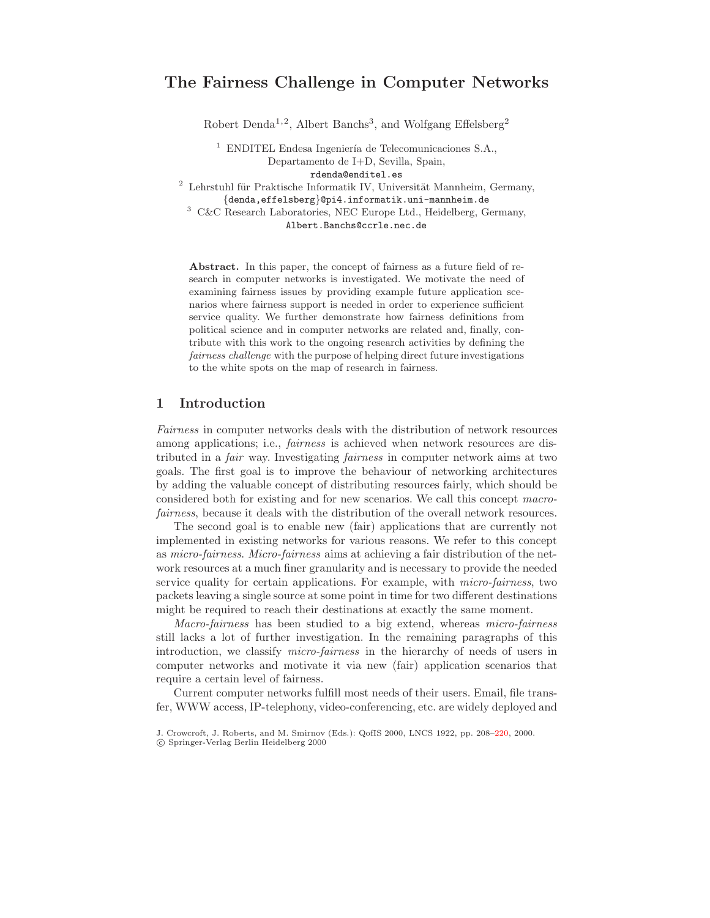# **The Fairness Challenge in Computer Networks**

Robert Denda<sup>1,2</sup>, Albert Banchs<sup>3</sup>, and Wolfgang Effelsberg<sup>2</sup>

<sup>1</sup> ENDITEL Endesa Ingeniería de Telecomunicaciones S.A., Departamento de I+D, Sevilla, Spain,

rdenda@enditel.es

Lehrstuhl für Praktische Informatik IV, Universität Mannheim, Germany,

*{*denda,effelsberg*}*@pi4.informatik.uni-mannheim.de <sup>3</sup> C&C Research Laboratories, NEC Europe Ltd., Heidelberg, Germany, Albert.Banchs@ccrle.nec.de

**Abstract.** In this paper, the concept of fairness as a future field of research in computer networks is investigated. We motivate the need of examining fairness issues by providing example future application scenarios where fairness support is needed in order to experience sufficient service quality. We further demonstrate how fairness definitions from political science and in computer networks are related and, finally, contribute with this work to the ongoing research activities by defining the fairness challenge with the purpose of helping direct future investigations to the white spots on the map of research in fairness.

### **1 Introduction**

*Fairness* in computer networks deals with the distribution of network resources among applications; i.e., *fairness* is achieved when network resources are distributed in a *fair* way. Investigating *fairness* in computer network aims at two goals. The first goal is to improve the behaviour of networking architectures by adding the valuable concept of distributing resources fairly, which should be considered both for existing and for new scenarios. We call this concept *macrofairness*, because it deals with the distribution of the overall network resources.

The second goal is to enable new (fair) applications that are currently not implemented in existing networks for various reasons. We refer to this concept as *micro-fairness*. *Micro-fairness* aims at achieving a fair distribution of the network resources at a much finer granularity and is necessary to provide the needed service quality for certain applications. For example, with *micro-fairness*, two packets leaving a single source at some point in time for two different destinations might be required to reach their destinations at exactly the same moment.

*Macro-fairness* has been studied to a big extend, whereas *micro-fairness* still lacks a lot of further investigation. In the remaining paragraphs of this introduction, we classify *micro-fairness* in the hierarchy of needs of users in computer networks and motivate it via new (fair) application scenarios that require a certain level of fairness.

Current computer networks fulfill most needs of their users. Email, file transfer, WWW access, IP-telephony, video-conferencing, etc. are widely deployed and

J. Crowcroft, J. Roberts, and M. Smirnov (Eds.): QofIS 2000, LNCS 1922, pp. 208[–220,](#page-12-0) 2000.

c Springer-Verlag Berlin Heidelberg 2000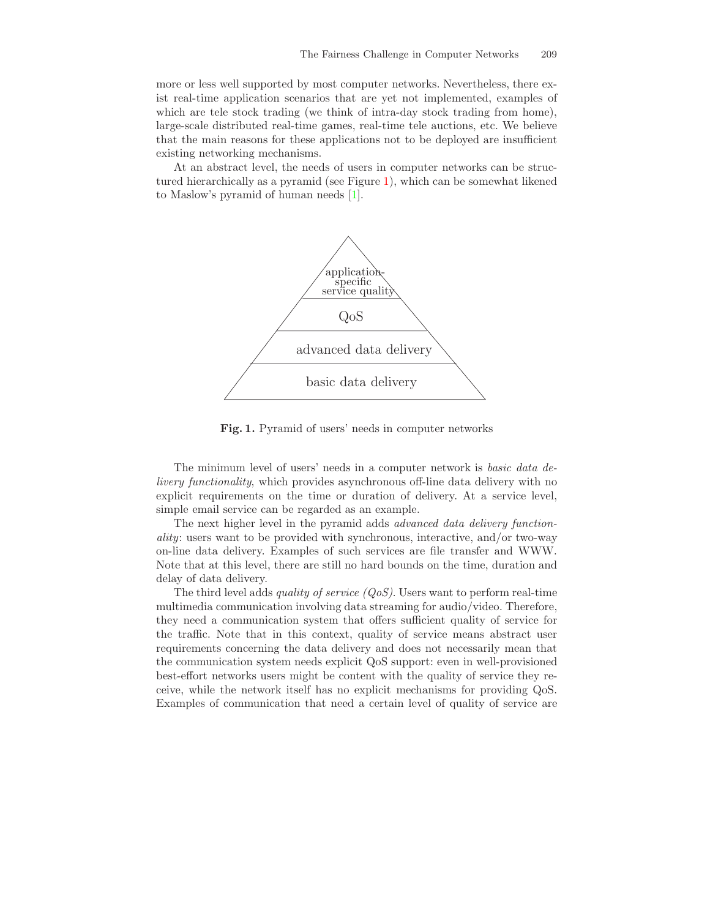<span id="page-1-1"></span>more or less well supported by most computer networks. Nevertheless, there exist real-time application scenarios that are yet not implemented, examples of which are tele stock trading (we think of intra-day stock trading from home), large-scale distributed real-time games, real-time tele auctions, etc. We believe that the main reasons for these applications not to be deployed are insufficient existing networking mechanisms.

<span id="page-1-0"></span>At an abstract level, the needs of users in computer networks can be structured hierarchically as a pyramid (see Figure [1\)](#page-1-0), which can be somewhat likened to Maslow's pyramid of human needs [\[1\]](#page-10-0).



**Fig. 1.** Pyramid of users' needs in computer networks

The minimum level of users' needs in a computer network is *basic data delivery functionality*, which provides asynchronous off-line data delivery with no explicit requirements on the time or duration of delivery. At a service level, simple email service can be regarded as an example.

The next higher level in the pyramid adds *advanced data delivery functionality*: users want to be provided with synchronous, interactive, and/or two-way on-line data delivery. Examples of such services are file transfer and WWW. Note that at this level, there are still no hard bounds on the time, duration and delay of data delivery.

The third level adds *quality of service (QoS)*. Users want to perform real-time multimedia communication involving data streaming for audio/video. Therefore, they need a communication system that offers sufficient quality of service for the traffic. Note that in this context, quality of service means abstract user requirements concerning the data delivery and does not necessarily mean that the communication system needs explicit QoS support: even in well-provisioned best-effort networks users might be content with the quality of service they receive, while the network itself has no explicit mechanisms for providing QoS. Examples of communication that need a certain level of quality of service are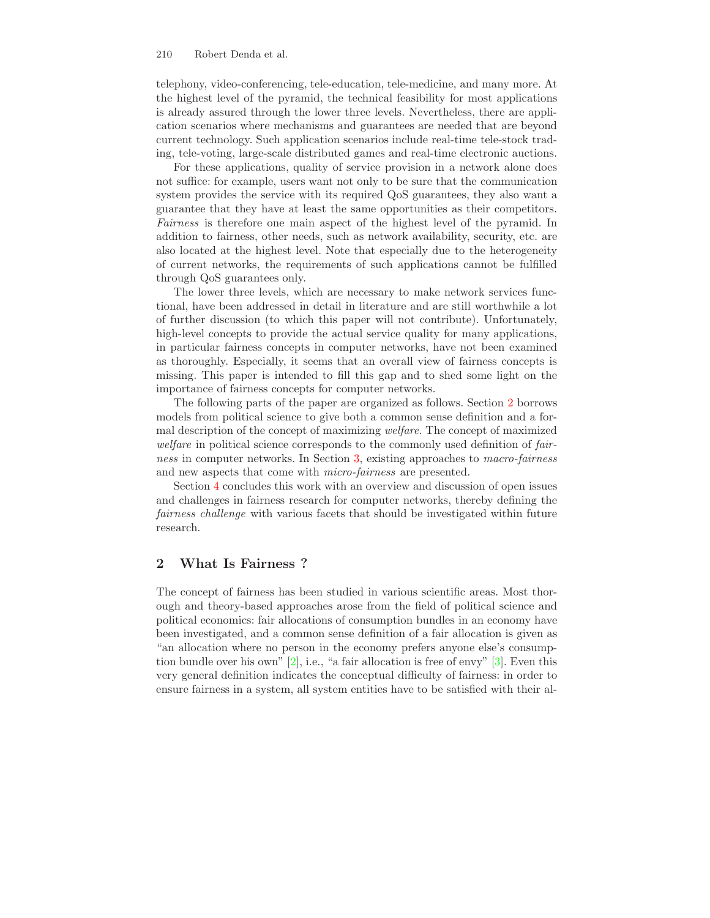<span id="page-2-1"></span>telephony, video-conferencing, tele-education, tele-medicine, and many more. At the highest level of the pyramid, the technical feasibility for most applications is already assured through the lower three levels. Nevertheless, there are application scenarios where mechanisms and guarantees are needed that are beyond current technology. Such application scenarios include real-time tele-stock trading, tele-voting, large-scale distributed games and real-time electronic auctions.

For these applications, quality of service provision in a network alone does not suffice: for example, users want not only to be sure that the communication system provides the service with its required QoS guarantees, they also want a guarantee that they have at least the same opportunities as their competitors. *Fairness* is therefore one main aspect of the highest level of the pyramid. In addition to fairness, other needs, such as network availability, security, etc. are also located at the highest level. Note that especially due to the heterogeneity of current networks, the requirements of such applications cannot be fulfilled through QoS guarantees only.

The lower three levels, which are necessary to make network services functional, have been addressed in detail in literature and are still worthwhile a lot of further discussion (to which this paper will not contribute). Unfortunately, high-level concepts to provide the actual service quality for many applications, in particular fairness concepts in computer networks, have not been examined as thoroughly. Especially, it seems that an overall view of fairness concepts is missing. This paper is intended to fill this gap and to shed some light on the importance of fairness concepts for computer networks.

The following parts of the paper are organized as follows. Section [2](#page-2-0) borrows models from political science to give both a common sense definition and a formal description of the concept of maximizing *welfare*. The concept of maximized *welfare* in political science corresponds to the commonly used definition of *fairness* in computer networks. In Section [3,](#page-5-0) existing approaches to *macro-fairness* and new aspects that come with *micro-fairness* are presented.

Section [4](#page-9-0) concludes this work with an overview and discussion of open issues and challenges in fairness research for computer networks, thereby defining the *fairness challenge* with various facets that should be investigated within future research.

## <span id="page-2-0"></span>**2 What Is Fairness ?**

The concept of fairness has been studied in various scientific areas. Most thorough and theory-based approaches arose from the field of political science and political economics: fair allocations of consumption bundles in an economy have been investigated, and a common sense definition of a fair allocation is given as "an allocation where no person in the economy prefers anyone else's consumption bundle over his own"  $[2]$ , i.e., "a fair allocation is free of envy"  $[3]$ . Even this very general definition indicates the conceptual difficulty of fairness: in order to ensure fairness in a system, all system entities have to be satisfied with their al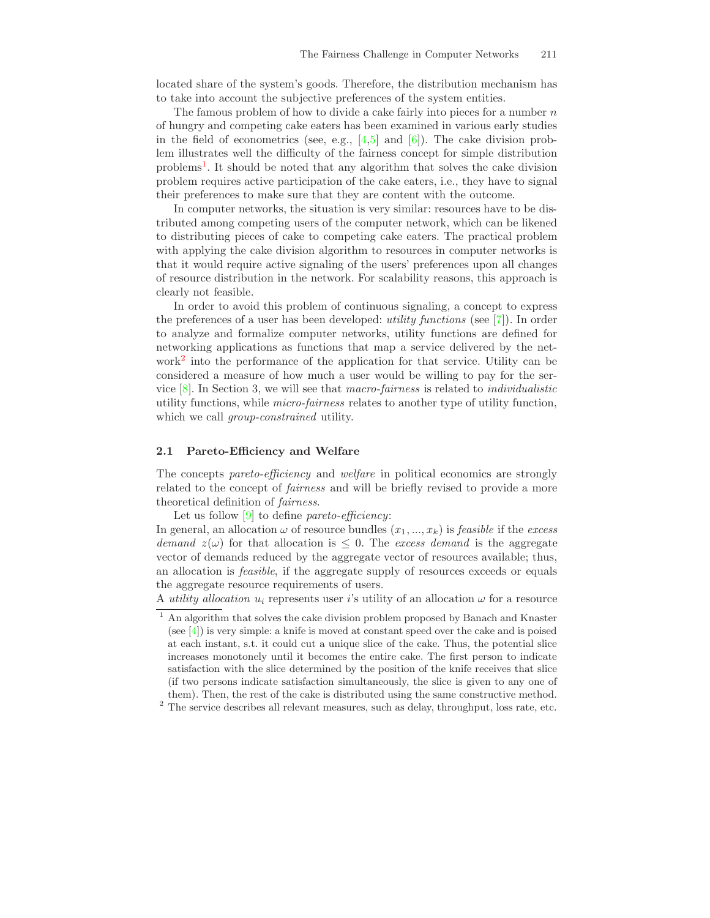<span id="page-3-2"></span>located share of the system's goods. Therefore, the distribution mechanism has to take into account the subjective preferences of the system entities.

The famous problem of how to divide a cake fairly into pieces for a number  $n$ of hungry and competing cake eaters has been examined in various early studies in the field of econometrics (see, e.g.,  $[4,5]$  $[4,5]$  and  $[6]$ ). The cake division problem illustrates well the difficulty of the fairness concept for simple distribution problems[1](#page-3-0). It should be noted that any algorithm that solves the cake division problem requires active participation of the cake eaters, i.e., they have to signal their preferences to make sure that they are content with the outcome.

In computer networks, the situation is very similar: resources have to be distributed among competing users of the computer network, which can be likened to distributing pieces of cake to competing cake eaters. The practical problem with applying the cake division algorithm to resources in computer networks is that it would require active signaling of the users' preferences upon all changes of resource distribution in the network. For scalability reasons, this approach is clearly not feasible.

In order to avoid this problem of continuous signaling, a concept to express the preferences of a user has been developed: *utility functions* (see [\[7\]](#page-10-6)). In order to analyze and formalize computer networks, utility functions are defined for networking applications as functions that map a service delivered by the net-work<sup>[2](#page-3-1)</sup> into the performance of the application for that service. Utility can be considered a measure of how much a user would be willing to pay for the service [\[8\]](#page-10-7). In Section 3, we will see that *macro-fairness* is related to *individualistic* utility functions, while *micro-fairness* relates to another type of utility function, which we call *group-constrained* utility.

#### <span id="page-3-0"></span>**2.1 Pareto-Efficiency and Welfare**

<span id="page-3-1"></span>The concepts *pareto-efficiency* and *welfare* in political economics are strongly related to the concept of *fairness* and will be briefly revised to provide a more theoretical definition of *fairness*.

Let us follow [\[9\]](#page-11-0) to define *pareto-efficiency*:

In general, an allocation  $\omega$  of resource bundles  $(x_1, ..., x_k)$  is *feasible* if the *excess demand*  $z(\omega)$  for that allocation is  $\leq 0$ . The *excess demand* is the aggregate vector of demands reduced by the aggregate vector of resources available; thus, an allocation is *feasible*, if the aggregate supply of resources exceeds or equals the aggregate resource requirements of users.

A *utility allocation*  $u_i$  represents user i's utility of an allocation  $\omega$  for a resource

<sup>1</sup> An algorithm that solves the cake division problem proposed by Banach and Knaster (see [\[4\]](#page-10-3)) is very simple: a knife is moved at constant speed over the cake and is poised at each instant, s.t. it could cut a unique slice of the cake. Thus, the potential slice increases monotonely until it becomes the entire cake. The first person to indicate satisfaction with the slice determined by the position of the knife receives that slice (if two persons indicate satisfaction simultaneously, the slice is given to any one of them). Then, the rest of the cake is distributed using the same constructive method.

 $^{\rm 2}$  The service describes all relevant measures, such as delay, throughput, loss rate, etc.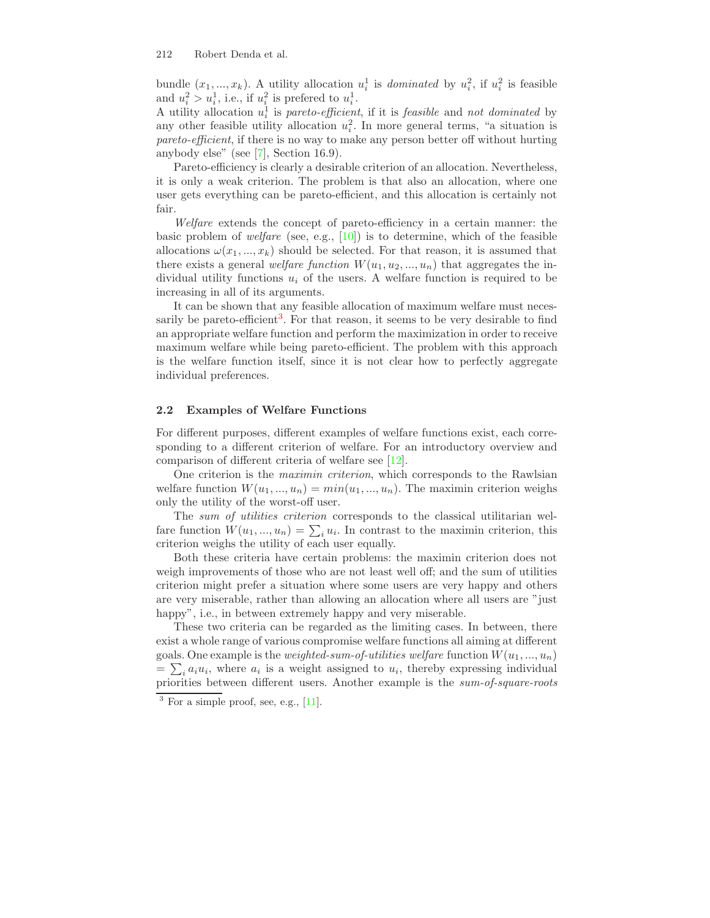<span id="page-4-1"></span>bundle  $(x_1, ..., x_k)$ . A utility allocation  $u_i^1$  is *dominated* by  $u_i^2$ , if  $u_i^2$  is feasible and  $u_i^2 > u_i^1$ , i.e., if  $u_i^2$  is prefered to  $u_i^1$ .

A utility allocation  $u_i^1$  is *pareto-efficient*, if it is *feasible* and *not dominated* by any other feasible utility allocation  $u_i^2$ . In more general terms, "a situation is *pareto-efficient*, if there is no way to make any person better off without hurting anybody else" (see [\[7\]](#page-10-6), Section 16.9).

Pareto-efficiency is clearly a desirable criterion of an allocation. Nevertheless, it is only a weak criterion. The problem is that also an allocation, where one user gets everything can be pareto-efficient, and this allocation is certainly not fair.

*Welfare* extends the concept of pareto-efficiency in a certain manner: the basic problem of *welfare* (see, e.g., [\[10\]](#page-11-1)) is to determine, which of the feasible allocations  $\omega(x_1, ..., x_k)$  should be selected. For that reason, it is assumed that there exists a general *welfare function*  $W(u_1, u_2, ..., u_n)$  that aggregates the individual utility functions u*<sup>i</sup>* of the users. A welfare function is required to be increasing in all of its arguments.

It can be shown that any feasible allocation of maximum welfare must neces-sarily be pareto-efficient<sup>[3](#page-4-0)</sup>. For that reason, it seems to be very desirable to find an appropriate welfare function and perform the maximization in order to receive maximum welfare while being pareto-efficient. The problem with this approach is the welfare function itself, since it is not clear how to perfectly aggregate individual preferences.

### **2.2 Examples of Welfare Functions**

For different purposes, different examples of welfare functions exist, each corresponding to a different criterion of welfare. For an introductory overview and comparison of different criteria of welfare see [\[12\]](#page-11-2).

<span id="page-4-0"></span>One criterion is the *maximin criterion*, which corresponds to the Rawlsian welfare function  $W(u_1, ..., u_n) = min(u_1, ..., u_n)$ . The maximin criterion weighs only the utility of the worst-off user.

The *sum of utilities criterion* corresponds to the classical utilitarian welfare function  $W(u_1, ..., u_n) = \sum_i u_i$ . In contrast to the maximin criterion, this criterion weighs the utility of each user equally.

Both these criteria have certain problems: the maximin criterion does not weigh improvements of those who are not least well off; and the sum of utilities criterion might prefer a situation where some users are very happy and others are very miserable, rather than allowing an allocation where all users are "just happy", i.e., in between extremely happy and very miserable.

These two criteria can be regarded as the limiting cases. In between, there exist a whole range of various compromise welfare functions all aiming at different goals. One example is the *weighted-sum-of-utilities welfare* function  $W(u_1, ..., u_n)$  $= \sum_i a_i u_i$ , where  $a_i$  is a weight assigned to  $u_i$ , thereby expressing individual priorities between different users. Another example is the *sum-of-square-roots*

 $3$  For a simple proof, see, e.g.,  $[11]$ .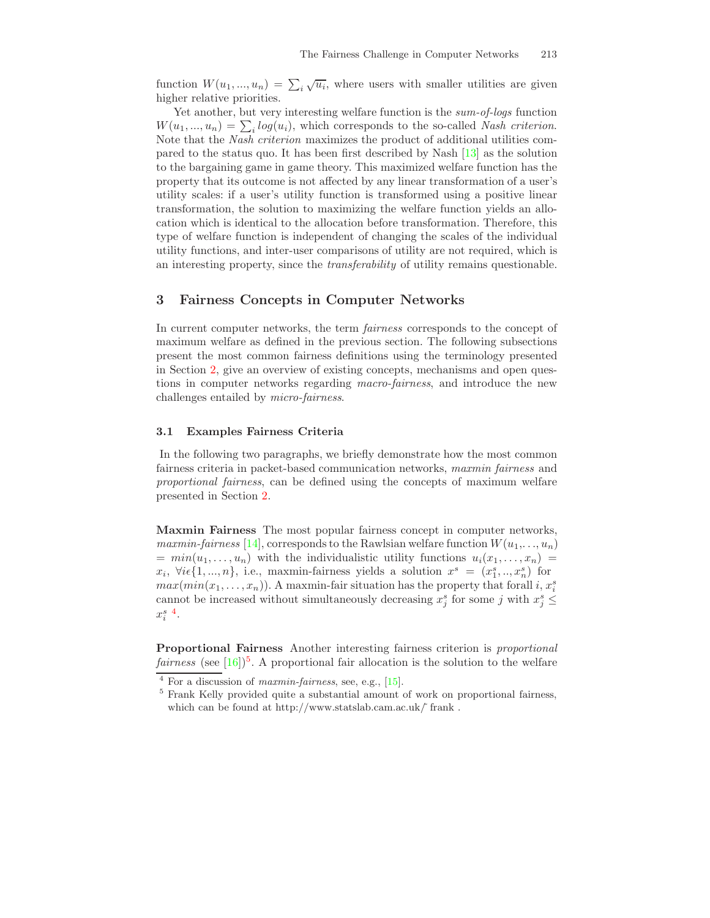<span id="page-5-4"></span>function  $W(u_1, ..., u_n) = \sum_i \sqrt{u_i}$ , where users with smaller utilities are given higher relative priorities.

Yet another, but very interesting welfare function is the *sum-of-logs* function  $W(u_1, ..., u_n) = \sum_i log(u_i)$ , which corresponds to the so-called *Nash criterion*. Note that the *Nash criterion* maximizes the product of additional utilities compared to the status quo. It has been first described by Nash [\[13\]](#page-11-4) as the solution to the bargaining game in game theory. This maximized welfare function has the property that its outcome is not affected by any linear transformation of a user's utility scales: if a user's utility function is transformed using a positive linear transformation, the solution to maximizing the welfare function yields an allocation which is identical to the allocation before transformation. Therefore, this type of welfare function is independent of changing the scales of the individual utility functions, and inter-user comparisons of utility are not required, which is an interesting property, since the *transferability* of utility remains questionable.

### <span id="page-5-0"></span>**3 Fairness Concepts in Computer Networks**

In current computer networks, the term *fairness* corresponds to the concept of maximum welfare as defined in the previous section. The following subsections present the most common fairness definitions using the terminology presented in Section [2,](#page-2-0) give an overview of existing concepts, mechanisms and open questions in computer networks regarding *macro-fairness*, and introduce the new challenges entailed by *micro-fairness*.

#### <span id="page-5-3"></span>**3.1 Examples Fairness Criteria**

<span id="page-5-2"></span><span id="page-5-1"></span>In the following two paragraphs, we briefly demonstrate how the most common fairness criteria in packet-based communication networks, *maxmin fairness* and *proportional fairness*, can be defined using the concepts of maximum welfare presented in Section [2.](#page-2-0)

**Maxmin Fairness** The most popular fairness concept in computer networks, *maxmin-fairness* [\[14\]](#page-11-5), corresponds to the Rawlsian welfare function  $W(u_1, \ldots, u_n)$  $= min(u_1,...,u_n)$  with the individualistic utility functions  $u_i(x_1,...,x_n)$  $x_i$ ,  $\forall i \in \{1, ..., n\}$ , i.e., maxmin-fairness yields a solution  $x^s = (x_1^s, ..., x_n^s)$  for  $max(min(x_1,...,x_n))$ . A maxmin-fair situation has the property that forall *i*,  $x_i^s$ cannot be increased without simultaneously decreasing  $x_j^s$  for some j with  $x_j^s \leq$  $x_i^{s-4}$  $x_i^{s-4}$  $x_i^{s-4}$ .

**Proportional Fairness** Another interesting fairness criterion is *proportional fairness* (see  $[16]$ <sup>[5](#page-5-2)</sup>. A proportional fair allocation is the solution to the welfare

For a discussion of maxmin-fairness, see, e.g., [\[15\]](#page-11-7).

<sup>&</sup>lt;sup>5</sup> Frank Kelly provided quite a substantial amount of work on proportional fairness, which can be found at http://www.statslab.cam.ac.uk/ $\int$  frank.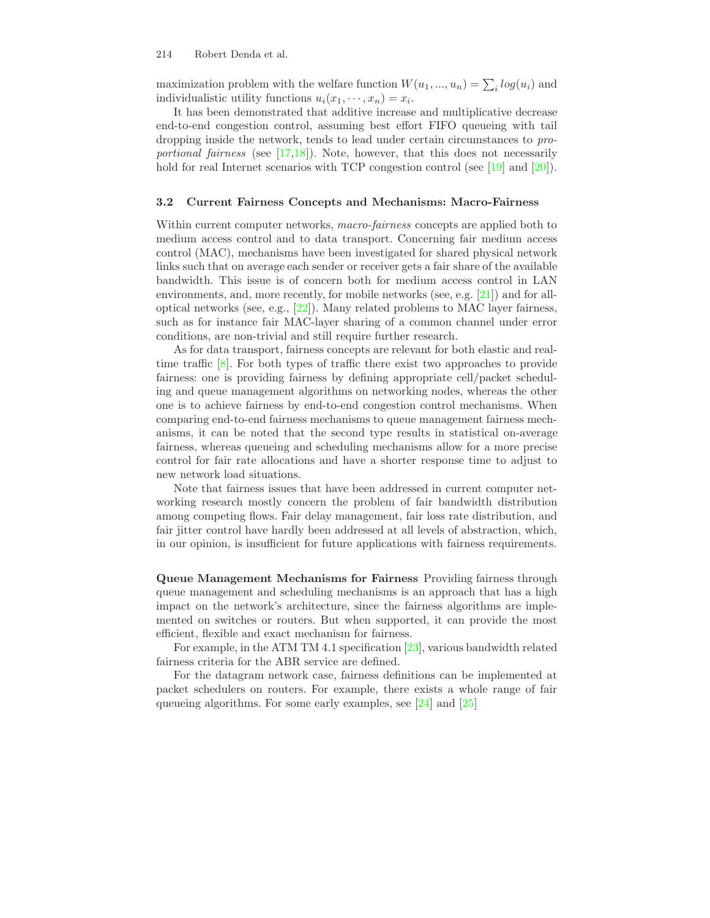<span id="page-6-0"></span>maximization problem with the welfare function  $W(u_1, ..., u_n) = \sum_i log(u_i)$  and individualistic utility functions  $u_i(x_1, \dots, x_n) = x_i$ .

It has been demonstrated that additive increase and multiplicative decrease end-to-end congestion control, assuming best effort FIFO queueing with tail dropping inside the network, tends to lead under certain circumstances to *proportional fairness* (see [\[17,](#page-11-8)[18\]](#page-11-9)). Note, however, that this does not necessarily hold for real Internet scenarios with TCP congestion control (see [\[19\]](#page-11-10) and [\[20\]](#page-11-11)).

#### **3.2 Current Fairness Concepts and Mechanisms: Macro-Fairness**

Within current computer networks, *macro-fairness* concepts are applied both to medium access control and to data transport. Concerning fair medium access control (MAC), mechanisms have been investigated for shared physical network links such that on average each sender or receiver gets a fair share of the available bandwidth. This issue is of concern both for medium access control in LAN environments, and, more recently, for mobile networks (see, e.g. [\[21\]](#page-11-12)) and for alloptical networks (see, e.g., [\[22\]](#page-11-13)). Many related problems to MAC layer fairness, such as for instance fair MAC-layer sharing of a common channel under error conditions, are non-trivial and still require further research.

As for data transport, fairness concepts are relevant for both elastic and realtime traffic [\[8\]](#page-10-7). For both types of traffic there exist two approaches to provide fairness: one is providing fairness by defining appropriate cell/packet scheduling and queue management algorithms on networking nodes, whereas the other one is to achieve fairness by end-to-end congestion control mechanisms. When comparing end-to-end fairness mechanisms to queue management fairness mechanisms, it can be noted that the second type results in statistical on-average fairness, whereas queueing and scheduling mechanisms allow for a more precise control for fair rate allocations and have a shorter response time to adjust to new network load situations.

Note that fairness issues that have been addressed in current computer networking research mostly concern the problem of fair bandwidth distribution among competing flows. Fair delay management, fair loss rate distribution, and fair jitter control have hardly been addressed at all levels of abstraction, which, in our opinion, is insufficient for future applications with fairness requirements.

**Queue Management Mechanisms for Fairness** Providing fairness through queue management and scheduling mechanisms is an approach that has a high impact on the network's architecture, since the fairness algorithms are implemented on switches or routers. But when supported, it can provide the most efficient, flexible and exact mechanism for fairness.

For example, in the ATM TM 4.1 specification [\[23\]](#page-11-14), various bandwidth related fairness criteria for the ABR service are defined.

For the datagram network case, fairness definitions can be implemented at packet schedulers on routers. For example, there exists a whole range of fair queueing algorithms. For some early examples, see [\[24\]](#page-11-15) and [\[25\]](#page-11-16)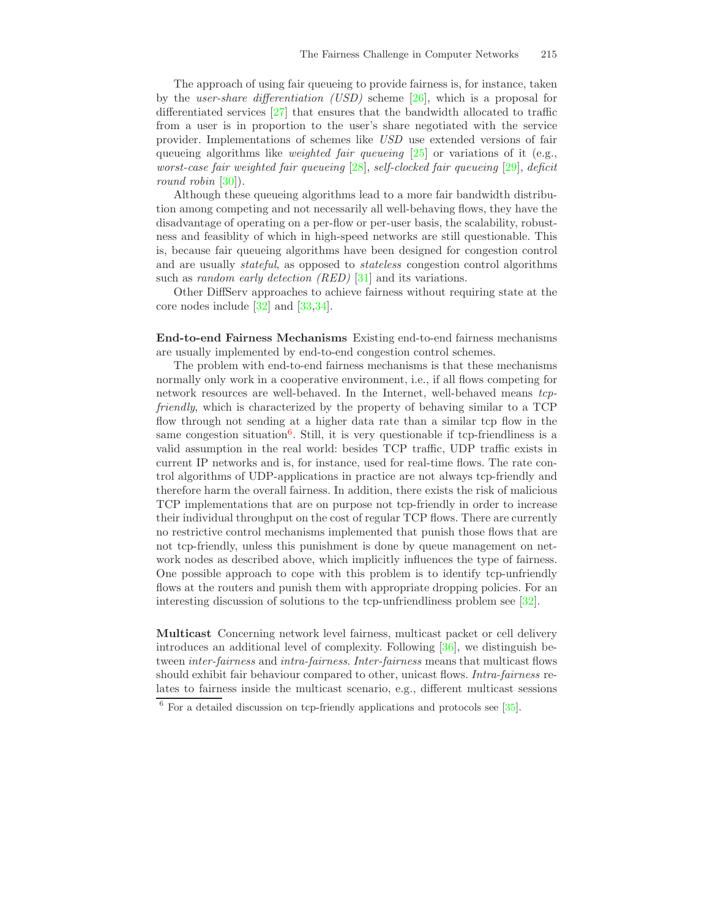<span id="page-7-1"></span>The approach of using fair queueing to provide fairness is, for instance, taken by the *user-share differentiation (USD)* scheme [\[26\]](#page-11-17), which is a proposal for differentiated services [\[27\]](#page-11-18) that ensures that the bandwidth allocated to traffic from a user is in proportion to the user's share negotiated with the service provider. Implementations of schemes like *USD* use extended versions of fair queueing algorithms like *weighted fair queueing* [\[25\]](#page-11-16) or variations of it (e.g., *worst-case fair weighted fair queueing* [\[28\]](#page-11-19), *self-clocked fair queueing* [\[29\]](#page-11-20), *deficit round robin* [\[30\]](#page-11-21)).

Although these queueing algorithms lead to a more fair bandwidth distribution among competing and not necessarily all well-behaving flows, they have the disadvantage of operating on a per-flow or per-user basis, the scalability, robustness and feasiblity of which in high-speed networks are still questionable. This is, because fair queueing algorithms have been designed for congestion control and are usually *stateful*, as opposed to *stateless* congestion control algorithms such as *random early detection (RED)* [\[31\]](#page-12-1) and its variations.

Other DiffServ approaches to achieve fairness without requiring state at the core nodes include [\[32\]](#page-12-2) and [\[33,](#page-12-3)[34\]](#page-12-4).

**End-to-end Fairness Mechanisms** Existing end-to-end fairness mechanisms are usually implemented by end-to-end congestion control schemes.

<span id="page-7-0"></span>The problem with end-to-end fairness mechanisms is that these mechanisms normally only work in a cooperative environment, i.e., if all flows competing for network resources are well-behaved. In the Internet, well-behaved means *tcpfriendly*, which is characterized by the property of behaving similar to a TCP flow through not sending at a higher data rate than a similar tcp flow in the same congestion situation<sup>[6](#page-7-0)</sup>. Still, it is very questionable if tcp-friendliness is a valid assumption in the real world: besides TCP traffic, UDP traffic exists in current IP networks and is, for instance, used for real-time flows. The rate control algorithms of UDP-applications in practice are not always tcp-friendly and therefore harm the overall fairness. In addition, there exists the risk of malicious TCP implementations that are on purpose not tcp-friendly in order to increase their individual throughput on the cost of regular TCP flows. There are currently no restrictive control mechanisms implemented that punish those flows that are not tcp-friendly, unless this punishment is done by queue management on network nodes as described above, which implicitly influences the type of fairness. One possible approach to cope with this problem is to identify tcp-unfriendly flows at the routers and punish them with appropriate dropping policies. For an interesting discussion of solutions to the tcp-unfriendliness problem see [\[32\]](#page-12-2).

**Multicast** Concerning network level fairness, multicast packet or cell delivery introduces an additional level of complexity. Following [\[36\]](#page-12-5), we distinguish between *inter-fairness* and *intra-fairness*. *Inter-fairness* means that multicast flows should exhibit fair behaviour compared to other, unicast flows. *Intra-fairness* relates to fairness inside the multicast scenario, e.g., different multicast sessions

 $6$  For a detailed discussion on tcp-friendly applications and protocols see [\[35\]](#page-12-6).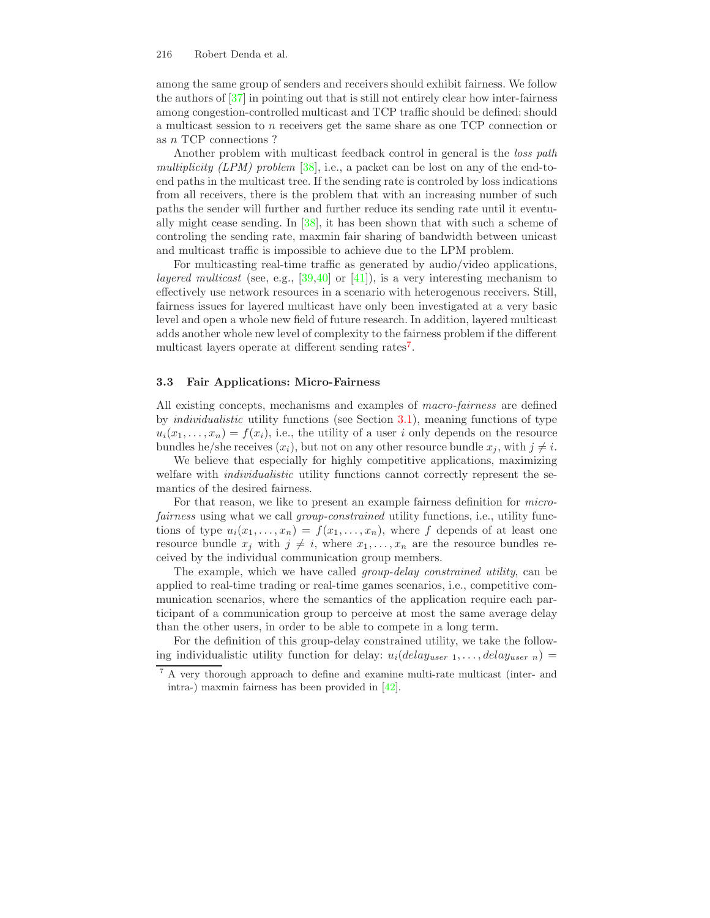<span id="page-8-1"></span>among the same group of senders and receivers should exhibit fairness. We follow the authors of [\[37\]](#page-12-7) in pointing out that is still not entirely clear how inter-fairness among congestion-controlled multicast and TCP traffic should be defined: should a multicast session to n receivers get the same share as one TCP connection or as n TCP connections ?

Another problem with multicast feedback control in general is the *loss path multiplicity (LPM) problem* [\[38\]](#page-12-8), i.e., a packet can be lost on any of the end-toend paths in the multicast tree. If the sending rate is controled by loss indications from all receivers, there is the problem that with an increasing number of such paths the sender will further and further reduce its sending rate until it eventually might cease sending. In [\[38\]](#page-12-8), it has been shown that with such a scheme of controling the sending rate, maxmin fair sharing of bandwidth between unicast and multicast traffic is impossible to achieve due to the LPM problem.

For multicasting real-time traffic as generated by audio/video applications, *layered multicast* (see, e.g., [\[39](#page-12-9)[,40\]](#page-12-10) or [\[41\]](#page-12-11)), is a very interesting mechanism to effectively use network resources in a scenario with heterogenous receivers. Still, fairness issues for layered multicast have only been investigated at a very basic level and open a whole new field of future research. In addition, layered multicast adds another whole new level of complexity to the fairness problem if the different multicast layers operate at different sending rates<sup>[7](#page-8-0)</sup>.

#### **3.3 Fair Applications: Micro-Fairness**

All existing concepts, mechanisms and examples of *macro-fairness* are defined by *individualistic* utility functions (see Section [3.1\)](#page-5-3), meaning functions of type  $u_i(x_1,\ldots,x_n) = f(x_i)$ , i.e., the utility of a user i only depends on the resource bundles he/she receives  $(x_i)$ , but not on any other resource bundle  $x_i$ , with  $j \neq i$ .

<span id="page-8-0"></span>We believe that especially for highly competitive applications, maximizing welfare with *individualistic* utility functions cannot correctly represent the semantics of the desired fairness.

For that reason, we like to present an example fairness definition for *microfairness* using what we call *group-constrained* utility functions, i.e., utility functions of type  $u_i(x_1,...,x_n) = f(x_1,...,x_n)$ , where f depends of at least one resource bundle  $x_j$  with  $j \neq i$ , where  $x_1, \ldots, x_n$  are the resource bundles received by the individual communication group members.

The example, which we have called *group-delay constrained utility*, can be applied to real-time trading or real-time games scenarios, i.e., competitive communication scenarios, where the semantics of the application require each participant of a communication group to perceive at most the same average delay than the other users, in order to be able to compete in a long term.

For the definition of this group-delay constrained utility, we take the following individualistic utility function for delay:  $u_i(delay_{user 1}, \ldots, delay_{user n})$ 

<sup>7</sup> A very thorough approach to define and examine multi-rate multicast (inter- and intra-) maxmin fairness has been provided in [\[42\]](#page-12-12).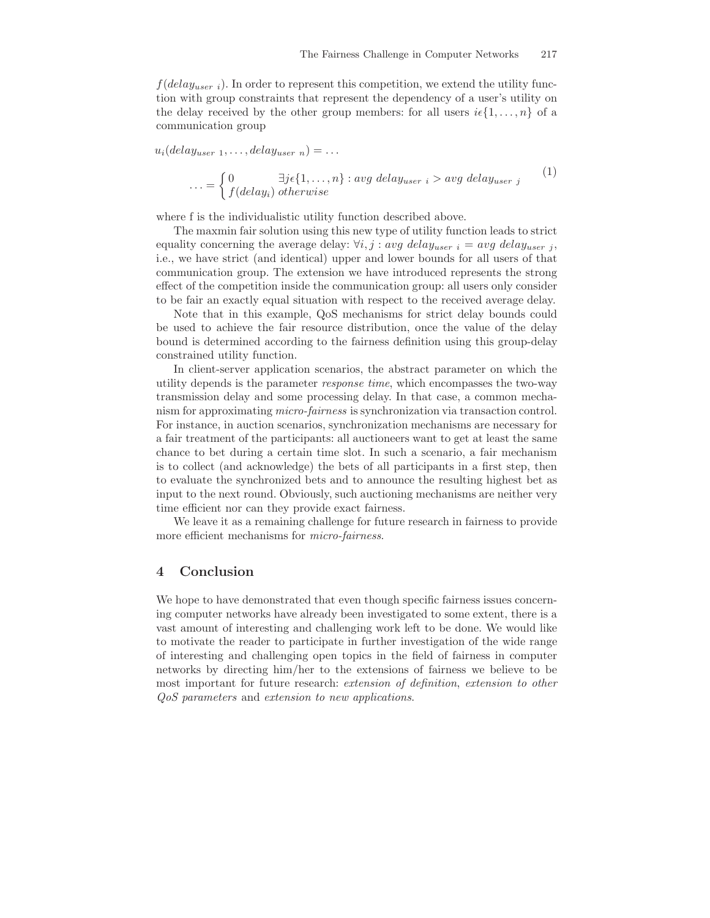$f(delay_{user i})$ . In order to represent this competition, we extend the utility function with group constraints that represent the dependency of a user's utility on the delay received by the other group members: for all users  $i\epsilon\{1,\ldots,n\}$  of a communication group

$$
u_i(delay_{user 1},...,delay_{user n}) = ...
$$
  
\n
$$
... = \begin{cases} 0 & \exists j \in \{1,...,n\} : avg \ delay_{user i} > avg \ delay_{user j} \\ f(delay_i) \ otherwise \end{cases}
$$
 (1)

where f is the individualistic utility function described above.

The maxmin fair solution using this new type of utility function leads to strict equality concerning the average delay:  $\forall i, j : avg \ delay_{user} i = avg \ delay_{user} j$ , i.e., we have strict (and identical) upper and lower bounds for all users of that communication group. The extension we have introduced represents the strong effect of the competition inside the communication group: all users only consider to be fair an exactly equal situation with respect to the received average delay.

Note that in this example, QoS mechanisms for strict delay bounds could be used to achieve the fair resource distribution, once the value of the delay bound is determined according to the fairness definition using this group-delay constrained utility function.

In client-server application scenarios, the abstract parameter on which the utility depends is the parameter *response time*, which encompasses the two-way transmission delay and some processing delay. In that case, a common mechanism for approximating *micro-fairness* is synchronization via transaction control. For instance, in auction scenarios, synchronization mechanisms are necessary for a fair treatment of the participants: all auctioneers want to get at least the same chance to bet during a certain time slot. In such a scenario, a fair mechanism is to collect (and acknowledge) the bets of all participants in a first step, then to evaluate the synchronized bets and to announce the resulting highest bet as input to the next round. Obviously, such auctioning mechanisms are neither very time efficient nor can they provide exact fairness.

<span id="page-9-0"></span>We leave it as a remaining challenge for future research in fairness to provide more efficient mechanisms for *micro-fairness*.

### **4 Conclusion**

We hope to have demonstrated that even though specific fairness issues concerning computer networks have already been investigated to some extent, there is a vast amount of interesting and challenging work left to be done. We would like to motivate the reader to participate in further investigation of the wide range of interesting and challenging open topics in the field of fairness in computer networks by directing him/her to the extensions of fairness we believe to be most important for future research: *extension of definition*, *extension to other QoS parameters* and *extension to new applications*.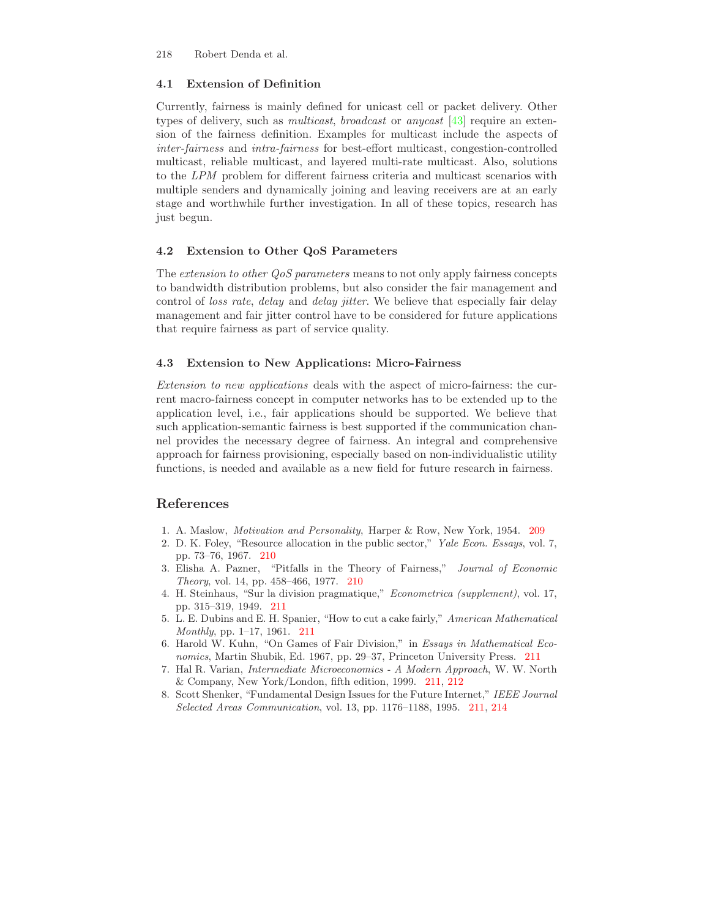### <span id="page-10-8"></span>**4.1 Extension of Definition**

Currently, fairness is mainly defined for unicast cell or packet delivery. Other types of delivery, such as *multicast*, *broadcast* or *anycast* [\[43\]](#page-12-13) require an extension of the fairness definition. Examples for multicast include the aspects of *inter-fairness* and *intra-fairness* for best-effort multicast, congestion-controlled multicast, reliable multicast, and layered multi-rate multicast. Also, solutions to the *LPM* problem for different fairness criteria and multicast scenarios with multiple senders and dynamically joining and leaving receivers are at an early stage and worthwhile further investigation. In all of these topics, research has just begun.

### **4.2 Extension to Other QoS Parameters**

The *extension to other QoS parameters* means to not only apply fairness concepts to bandwidth distribution problems, but also consider the fair management and control of *loss rate*, *delay* and *delay jitter*. We believe that especially fair delay management and fair jitter control have to be considered for future applications that require fairness as part of service quality.

### **4.3 Extension to New Applications: Micro-Fairness**

*Extension to new applications* deals with the aspect of micro-fairness: the current macro-fairness concept in computer networks has to be extended up to the application level, i.e., fair applications should be supported. We believe that such application-semantic fairness is best supported if the communication channel provides the necessary degree of fairness. An integral and comprehensive approach for fairness provisioning, especially based on non-individualistic utility functions, is needed and available as a new field for future research in fairness.

## <span id="page-10-1"></span><span id="page-10-0"></span>**References**

- 1. A. Maslow, Motivation and Personality, Harper & Row, New York, 1954. [209](#page-1-1)
- <span id="page-10-2"></span>2. D. K. Foley, "Resource allocation in the public sector," Yale Econ. Essays, vol. 7, pp. 73–76, 1967. [210](#page-2-1)
- <span id="page-10-3"></span>3. Elisha A. Pazner, "Pitfalls in the Theory of Fairness," Journal of Economic Theory, vol. 14, pp. 458–466, 1977. [210](#page-2-1)
- <span id="page-10-4"></span>4. H. Steinhaus, "Sur la division pragmatique," Econometrica (supplement), vol. 17, pp. 315–319, 1949. [211](#page-3-2)
- <span id="page-10-5"></span>5. L. E. Dubins and E. H. Spanier, "How to cut a cake fairly," American Mathematical Monthly, pp. 1–17, 1961. [211](#page-3-2)
- <span id="page-10-6"></span>6. Harold W. Kuhn, "On Games of Fair Division," in Essays in Mathematical Economics, Martin Shubik, Ed. 1967, pp. 29–37, Princeton University Press. [211](#page-3-2)
- <span id="page-10-7"></span>7. Hal R. Varian, Intermediate Microeconomics - A Modern Approach, W. W. North & Company, New York/London, fifth edition, 1999. [211,](#page-3-2) [212](#page-4-1)
- 8. Scott Shenker, "Fundamental Design Issues for the Future Internet," IEEE Journal Selected Areas Communication, vol. 13, pp. 1176–1188, 1995. [211,](#page-3-2) [214](#page-6-0)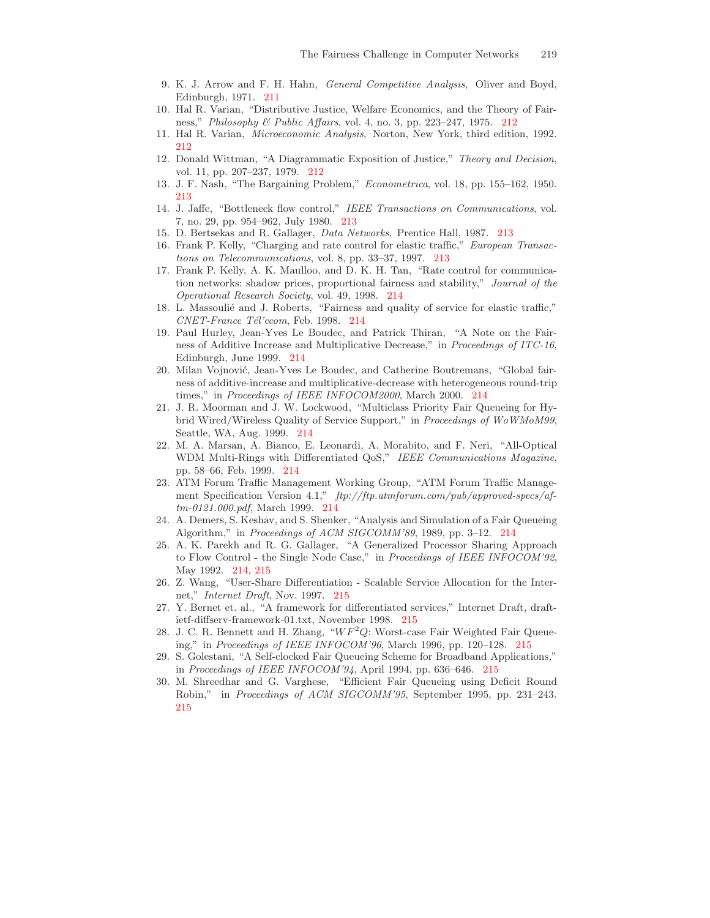- <span id="page-11-1"></span><span id="page-11-0"></span>9. K. J. Arrow and F. H. Hahn, General Competitive Analysis, Oliver and Boyd, Edinburgh, 1971. [211](#page-3-2)
- <span id="page-11-3"></span>10. Hal R. Varian, "Distributive Justice, Welfare Economics, and the Theory of Fairness," *Philosophy & Public Affairs*, vol. 4, no. 3, pp. 223–247, 1975. [212](#page-4-1)
- <span id="page-11-2"></span>11. Hal R. Varian, Microeconomic Analysis, Norton, New York, third edition, 1992. [212](#page-4-1)
- <span id="page-11-4"></span>12. Donald Wittman, "A Diagrammatic Exposition of Justice," Theory and Decision, vol. 11, pp. 207–237, 1979. [212](#page-4-1)
- <span id="page-11-5"></span>13. J. F. Nash, "The Bargaining Problem," Econometrica, vol. 18, pp. 155–162, 1950. [213](#page-5-4)
- <span id="page-11-7"></span><span id="page-11-6"></span>14. J. Jaffe, "Bottleneck flow control," IEEE Transactions on Communications, vol. 7, no. 29, pp. 954–962, July 1980. [213](#page-5-4)
- <span id="page-11-8"></span>15. D. Bertsekas and R. Gallager, Data Networks, Prentice Hall, 1987. [213](#page-5-4)
- 16. Frank P. Kelly, "Charging and rate control for elastic traffic," European Transactions on Telecommunications, vol. 8, pp. 33–37, 1997. [213](#page-5-4)
- <span id="page-11-9"></span>17. Frank P. Kelly, A. K. Maulloo, and D. K. H. Tan, "Rate control for communication networks: shadow prices, proportional fairness and stability," Journal of the Operational Research Society, vol. 49, 1998. [214](#page-6-0)
- <span id="page-11-10"></span>18. L. Massoulié and J. Roberts, "Fairness and quality of service for elastic traffic," CNET-France Tél'ecom, Feb. 1998. [214](#page-6-0)
- <span id="page-11-11"></span>19. Paul Hurley, Jean-Yves Le Boudec, and Patrick Thiran, "A Note on the Fairness of Additive Increase and Multiplicative Decrease," in Proceedings of ITC-16, Edinburgh, June 1999. [214](#page-6-0)
- <span id="page-11-12"></span>20. Milan Vojnović, Jean-Yves Le Boudec, and Catherine Boutremans, "Global fairness of additive-increase and multiplicative-decrease with heterogeneous round-trip times," in Proceedings of IEEE INFOCOM2000, March 2000. [214](#page-6-0)
- <span id="page-11-13"></span>21. J. R. Moorman and J. W. Lockwood, "Multiclass Priority Fair Queueing for Hybrid Wired/Wireless Quality of Service Support," in Proceedings of WoWMoM99, Seattle, WA, Aug. 1999. [214](#page-6-0)
- <span id="page-11-14"></span>22. M. A. Marsan, A. Bianco, E. Leonardi, A. Morabito, and F. Neri, "All-Optical WDM Multi-Rings with Differentiated QoS," IEEE Communications Magazine, pp. 58–66, Feb. 1999. [214](#page-6-0)
- <span id="page-11-15"></span>23. ATM Forum Traffic Management Working Group, "ATM Forum Traffic Management Specification Version 4.1," ftp://ftp.atmforum.com/pub/approved-specs/aftm-0121.000.pdf, March 1999. [214](#page-6-0)
- <span id="page-11-16"></span>24. A. Demers, S. Keshav, and S. Shenker, "Analysis and Simulation of a Fair Queueing Algorithm," in Proceedings of ACM SIGCOMM'89, 1989, pp. 3–12. [214](#page-6-0)
- <span id="page-11-17"></span>25. A. K. Parekh and R. G. Gallager, "A Generalized Processor Sharing Approach to Flow Control - the Single Node Case," in Proceedings of IEEE INFOCOM'92, May 1992. [214,](#page-6-0) [215](#page-7-1)
- <span id="page-11-18"></span>26. Z. Wang, "User-Share Differentiation - Scalable Service Allocation for the Internet," Internet Draft, Nov. 1997. [215](#page-7-1)
- <span id="page-11-19"></span>27. Y. Bernet et. al., "A framework for differentiated services," Internet Draft, draftietf-diffserv-framework-01.txt, November 1998. [215](#page-7-1)
- <span id="page-11-20"></span>28. J. C. R. Bennett and H. Zhang, "*W F*<sup>2</sup>*Q*: Worst-case Fair Weighted Fair Queueing," in Proceedings of IEEE INFOCOM'96, March 1996, pp. 120–128. [215](#page-7-1)
- <span id="page-11-21"></span>29. S. Golestani, "A Self-clocked Fair Queueing Scheme for Broadband Applications," in Proceedings of IEEE INFOCOM'94, April 1994, pp. 636–646.  $215$
- 30. M. Shreedhar and G. Varghese, "Efficient Fair Queueing using Deficit Round Robin," in Proceedings of ACM SIGCOMM'95, September 1995, pp. 231–243. [215](#page-7-1)